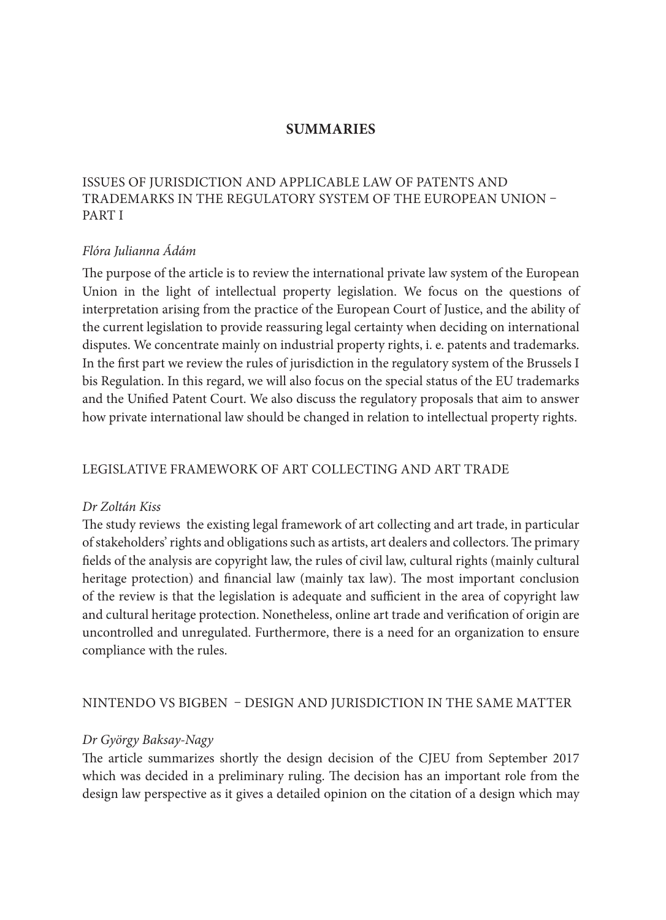### **summaries**

# Issues of jurisdiction and applicable law of patents and trademarks in the regulatory system of the European Union – PART I

### *Flóra Julianna Ádám*

The purpose of the article is to review the international private law system of the European Union in the light of intellectual property legislation. We focus on the questions of interpretation arising from the practice of the European Court of Justice, and the ability of the current legislation to provide reassuring legal certainty when deciding on international disputes. We concentrate mainly on industrial property rights, i. e. patents and trademarks. In the first part we review the rules of jurisdiction in the regulatory system of the Brussels I bis Regulation. In this regard, we will also focus on the special status of the EU trademarks and the Unified Patent Court. We also discuss the regulatory proposals that aim to answer how private international law should be changed in relation to intellectual property rights.

# Legislative framework of art collecting and art trade

#### *Dr Zoltán Kiss*

The study reviews the existing legal framework of art collecting and art trade, in particular of stakeholders' rights and obligations such as artists, art dealers and collectors. The primary fields of the analysis are copyright law, the rules of civil law, cultural rights (mainly cultural heritage protection) and financial law (mainly tax law). The most important conclusion of the review is that the legislation is adequate and sufficient in the area of copyright law and cultural heritage protection. Nonetheless, online art trade and verification of origin are uncontrolled and unregulated. Furthermore, there is a need for an organization to ensure compliance with the rules.

#### Nintendo vs BigBen – design and jurisdiction in the same matter

#### *Dr György Baksay-Nagy*

The article summarizes shortly the design decision of the CJEU from September 2017 which was decided in a preliminary ruling. The decision has an important role from the design law perspective as it gives a detailed opinion on the citation of a design which may